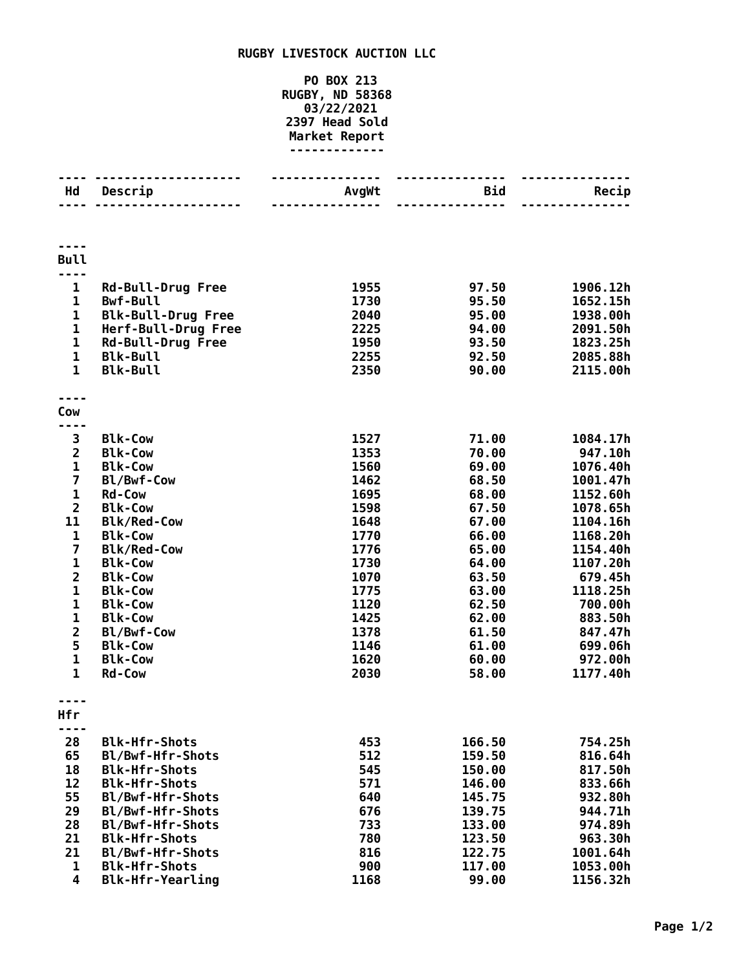## **RUGBY LIVESTOCK AUCTION LLC**

## **PO BOX 213 RUGBY, ND 58368 03/22/2021 Head Sold Market Report -------------**

| Hd                           | Descrip                                     | AvgWt | Bid    | Recip               |
|------------------------------|---------------------------------------------|-------|--------|---------------------|
|                              |                                             |       |        |                     |
| <b>Bull</b>                  |                                             |       |        |                     |
| $\mathbf{1}$                 |                                             | 1955  | 97.50  | 1906.12h            |
| $\mathbf 1$                  | <b>Rd-Bull-Drug Free</b><br><b>Bwf-Bull</b> | 1730  | 95.50  | 1652.15h            |
| $\mathbf 1$                  | <b>Blk-Bull-Drug Free</b>                   | 2040  | 95.00  | 1938.00h            |
| $\mathbf 1$                  | Herf-Bull-Drug Free                         | 2225  | 94.00  | 2091.50h            |
| $\mathbf{1}$                 | <b>Rd-Bull-Drug Free</b>                    | 1950  | 93.50  | 1823.25h            |
| $\mathbf{1}$                 | <b>Blk-Bull</b>                             | 2255  | 92.50  | 2085.88h            |
| $\mathbf{1}$                 | <b>Blk-Bull</b>                             | 2350  | 90.00  | 2115.00h            |
|                              |                                             |       |        |                     |
| Cow                          |                                             |       |        |                     |
| 3                            | <b>Blk-Cow</b>                              | 1527  | 71.00  | 1084.17h            |
| $\overline{2}$               | <b>Blk-Cow</b>                              | 1353  | 70.00  | 947.10h             |
| $\mathbf{1}$                 | <b>Blk-Cow</b>                              | 1560  | 69.00  | 1076.40h            |
| $\overline{\mathbf{z}}$      | Bl/Bwf-Cow                                  | 1462  | 68.50  | 1001.47h            |
| $\mathbf{1}$                 | <b>Rd-Cow</b>                               | 1695  | 68.00  | 1152.60h            |
| $\overline{2}$               | <b>Blk-Cow</b>                              | 1598  | 67.50  | 1078.65h            |
| 11                           | <b>Blk/Red-Cow</b>                          | 1648  | 67.00  | 1104.16h            |
| $\mathbf 1$                  | <b>Blk-Cow</b>                              | 1770  | 66.00  | 1168.20h            |
| $\overline{\mathbf{z}}$      | <b>Blk/Red-Cow</b>                          | 1776  | 65.00  | 1154.40h            |
| $\mathbf 1$                  | <b>Blk-Cow</b>                              | 1730  | 64.00  | 1107.20h            |
| $\overline{2}$               | <b>Blk-Cow</b>                              | 1070  | 63.50  | 679.45h             |
| $\mathbf 1$                  | <b>Blk-Cow</b>                              | 1775  | 63.00  | 1118.25h            |
| $\mathbf{1}$                 | <b>Blk-Cow</b>                              | 1120  | 62.50  | 700.00h             |
| $\mathbf 1$                  | <b>Blk-Cow</b>                              | 1425  | 62.00  | 883.50h             |
| $\overline{\mathbf{c}}$      | Bl/Bwf-Cow                                  | 1378  | 61.50  | 847.47h             |
| 5                            | <b>Blk-Cow</b>                              | 1146  | 61.00  | 699.06h             |
| $\mathbf{1}$<br>$\mathbf{1}$ | <b>Blk-Cow</b>                              | 1620  | 60.00  | 972.00h<br>1177.40h |
|                              | <b>Rd-Cow</b>                               | 2030  | 58.00  |                     |
| Hfr                          |                                             |       |        |                     |
|                              |                                             |       |        |                     |
| 28                           | <b>Blk-Hfr-Shots</b>                        | 453   | 166.50 | 754.25h             |
| 65                           | Bl/Bwf-Hfr-Shots                            | 512   | 159.50 | 816.64h             |
| 18                           | <b>Blk-Hfr-Shots</b>                        | 545   | 150.00 | 817.50h             |
| 12                           | <b>Blk-Hfr-Shots</b>                        | 571   | 146.00 | 833.66h             |
| 55                           | Bl/Bwf-Hfr-Shots                            | 640   | 145.75 | 932.80h             |
| 29                           | Bl/Bwf-Hfr-Shots                            | 676   | 139.75 | 944.71h             |
| 28                           | Bl/Bwf-Hfr-Shots                            | 733   | 133.00 | 974.89h             |
| 21                           | <b>Blk-Hfr-Shots</b>                        | 780   | 123.50 | 963.30h             |
| 21                           | Bl/Bwf-Hfr-Shots                            | 816   | 122.75 | 1001.64h            |
| 1                            | <b>Blk-Hfr-Shots</b>                        | 900   | 117.00 | 1053.00h            |
| $\overline{\mathbf{4}}$      | <b>Blk-Hfr-Yearling</b>                     | 1168  | 99.00  | 1156.32h            |